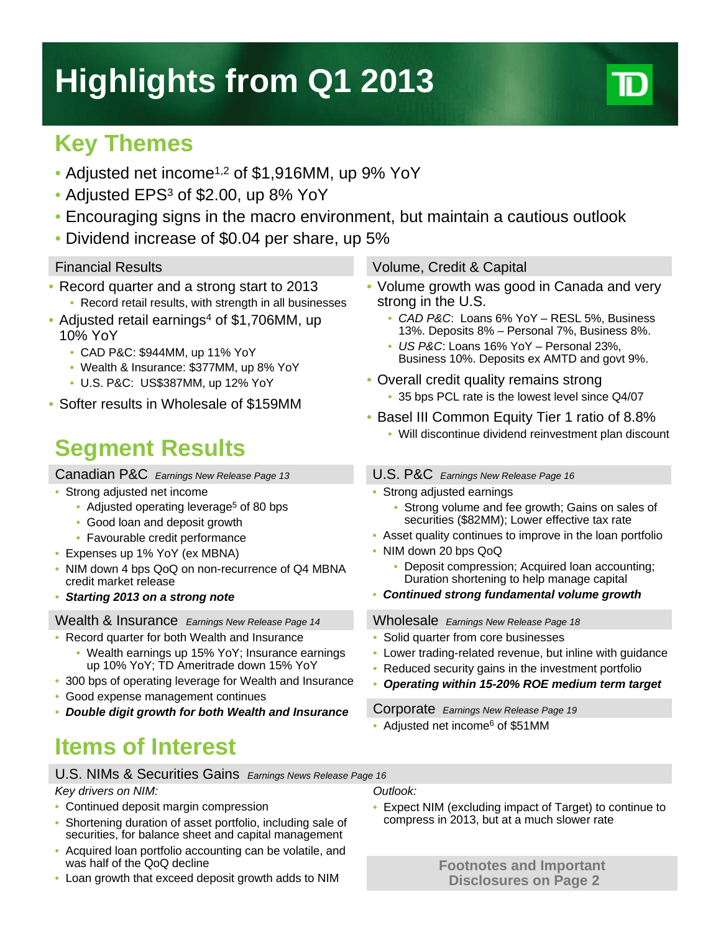# **Highlights from Q1 2013**

### **Key Themes**

- Adjusted net income<sup>1,2</sup> of \$1,916MM, up 9% YoY
- Adjusted EPS<sup>3</sup> of \$2.00, up 8% YoY
- Encouraging signs in the macro environment, but maintain a cautious outlook
- Dividend increase of \$0.04 per share, up 5%

- Record quarter and a strong start to 2013
- Record retail results, with strength in all businesses • Adjusted retail earnings<sup>4</sup> of \$1,706MM, up
- 10% YoY
	- CAD P&C: \$944MM, up 11% YoY
	- Wealth & Insurance: \$377MM, up 8% YoY
	- U.S. P&C: US\$387MM, up 12% YoY
- Softer results in Wholesale of \$159MM

### **Segment Results**

Canadian P&C *Earnings New Release Page 13*

- Strong adjusted net income
	- Adjusted operating leverage<sup>5</sup> of 80 bps
	- Good loan and deposit growth
	- Favourable credit performance
- Expenses up 1% YoY (ex MBNA)
- NIM down 4 bps QoQ on non-recurrence of Q4 MBNA credit market release
- *Starting 2013 on a strong note*

#### Wealth & Insurance *Earnings New Release Page 14*

- Record quarter for both Wealth and Insurance
	- Wealth earnings up 15% YoY; Insurance earnings up 10% YoY; TD Ameritrade down 15% YoY
- 300 bps of operating leverage for Wealth and Insurance
- Good expense management continues
- *Double digit growth for both Wealth and Insurance*

## **Items of Interest**

### U.S. NIMs & Securities Gains *Earnings News Release Page 16*

#### *Key drivers on NIM:*

- Continued deposit margin compression
- Shortening duration of asset portfolio, including sale of securities, for balance sheet and capital management
- Acquired loan portfolio accounting can be volatile, and was half of the QoQ decline
- Loan growth that exceed deposit growth adds to NIM

#### Financial Results Volume, Credit & Capital

- Volume growth was good in Canada and very strong in the U.S.
	- *CAD P&C*: Loans 6% YoY RESL 5%, Business 13%. Deposits 8% – Personal 7%, Business 8%.
	- *US P&C*: Loans 16% YoY Personal 23%, Business 10%. Deposits ex AMTD and govt 9%.
- Overall credit quality remains strong • 35 bps PCL rate is the lowest level since Q4/07
- Basel III Common Equity Tier 1 ratio of 8.8%
	- Will discontinue dividend reinvestment plan discount

#### U.S. P&C *Earnings New Release Page 16*

- Strong adjusted earnings
	- Strong volume and fee growth; Gains on sales of securities (\$82MM); Lower effective tax rate
- Asset quality continues to improve in the loan portfolio
- NIM down 20 bps QoQ
	- Deposit compression; Acquired loan accounting; Duration shortening to help manage capital
- *Continued strong fundamental volume growth*

Wholesale *Earnings New Release Page 18*

- Solid quarter from core businesses
- Lower trading-related revenue, but inline with guidance
- Reduced security gains in the investment portfolio
- *Operating within 15-20% ROE medium term target*

Corporate *Earnings New Release Page 19*

• Adjusted net income<sup>6</sup> of \$51MM

*Outlook:*

• Expect NIM (excluding impact of Target) to continue to compress in 2013, but at a much slower rate

> **Footnotes and Important Disclosures on Page 2**